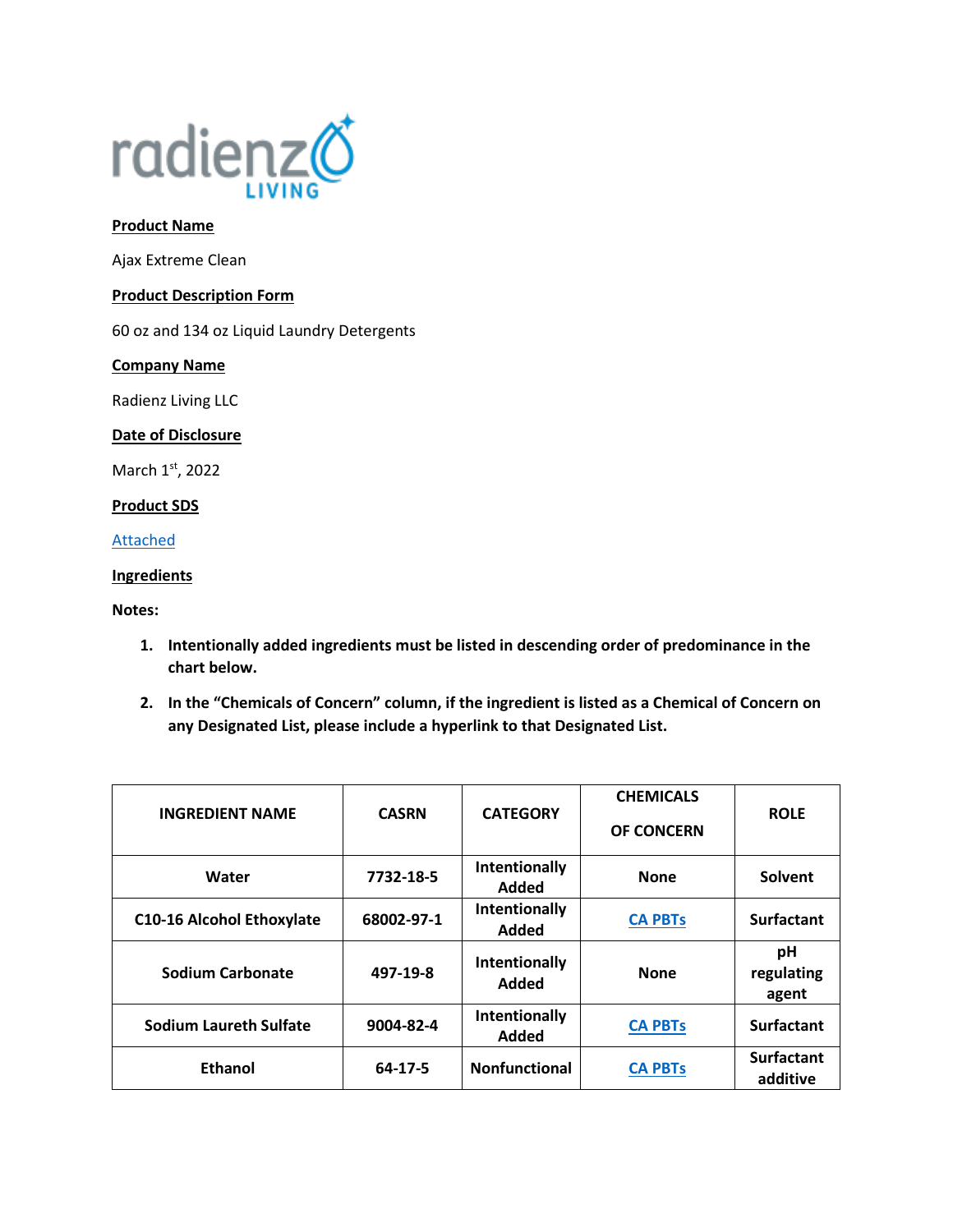

### **Product Name**

Ajax Extreme Clean

#### **Product Description Form**

60 oz and 134 oz Liquid Laundry Detergents

### **Company Name**

Radienz Living LLC

### **Date of Disclosure**

March 1st, 2022

# **Product SDS**

[Attached](file://///srvfs02/home/mloesch/Files/Home%20Care/AJAX-2020/SDS/Extreme%20Clean.pdf)

# **Ingredients**

### **Notes:**

- **1. Intentionally added ingredients must be listed in descending order of predominance in the chart below.**
- **2. In the "Chemicals of Concern" column, if the ingredient is listed as a Chemical of Concern on any Designated List, please include a hyperlink to that Designated List.**

| <b>INGREDIENT NAME</b>           | <b>CASRN</b>  | <b>CATEGORY</b>        | <b>CHEMICALS</b><br><b>OF CONCERN</b> | <b>ROLE</b>                   |
|----------------------------------|---------------|------------------------|---------------------------------------|-------------------------------|
| Water                            | 7732-18-5     | Intentionally<br>Added | <b>None</b>                           | Solvent                       |
| <b>C10-16 Alcohol Ethoxylate</b> | 68002-97-1    | Intentionally<br>Added | <b>CA PBTs</b>                        | <b>Surfactant</b>             |
| <b>Sodium Carbonate</b>          | 497-19-8      | Intentionally<br>Added | <b>None</b>                           | рH<br>regulating<br>agent     |
| <b>Sodium Laureth Sulfate</b>    | 9004-82-4     | Intentionally<br>Added | <b>CA PBTs</b>                        | <b>Surfactant</b>             |
| <b>Ethanol</b>                   | $64 - 17 - 5$ | <b>Nonfunctional</b>   | <b>CA PBTs</b>                        | <b>Surfactant</b><br>additive |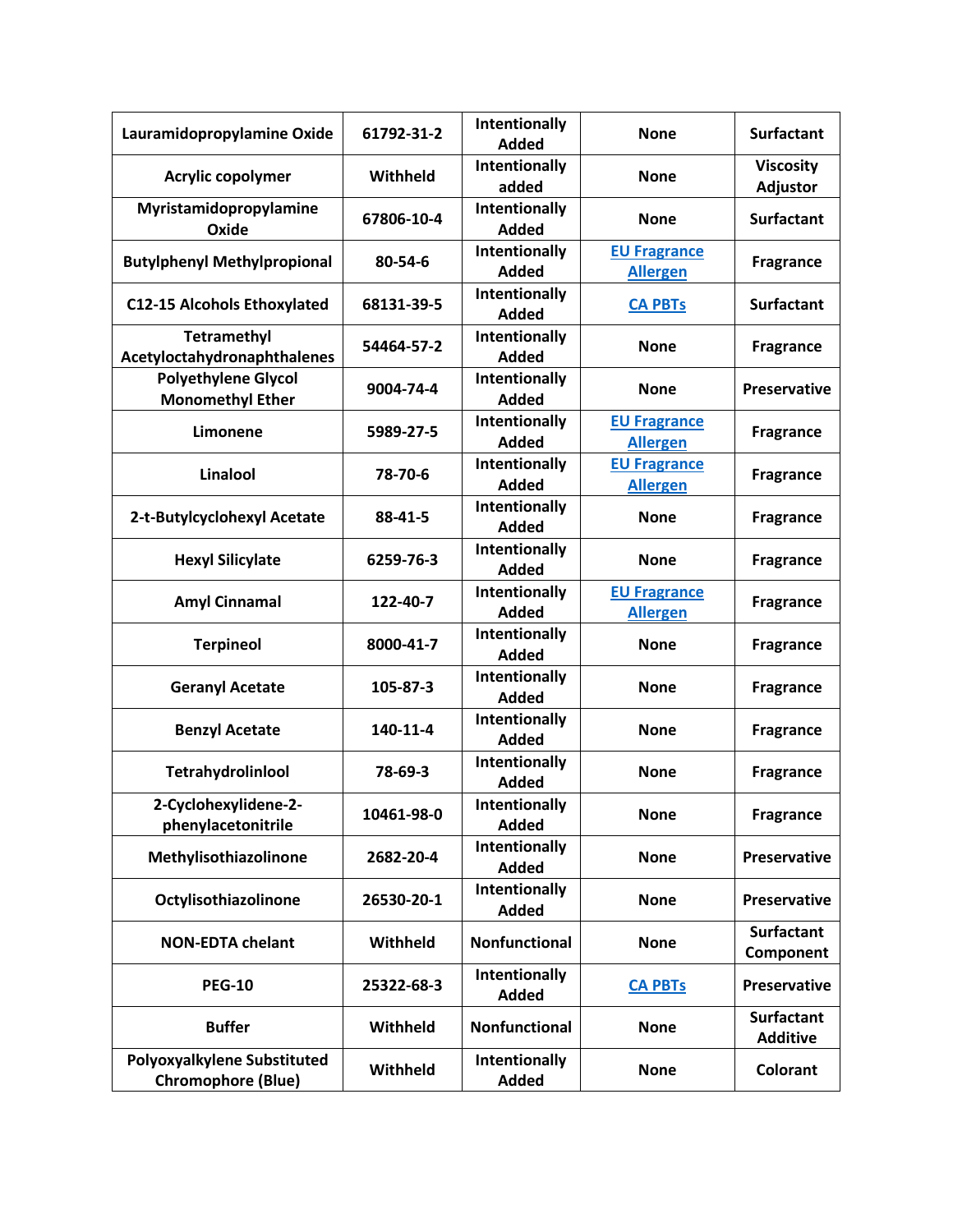| Lauramidopropylamine Oxide                               | 61792-31-2 | Intentionally<br><b>Added</b> | <b>None</b>                            | <b>Surfactant</b>                    |
|----------------------------------------------------------|------------|-------------------------------|----------------------------------------|--------------------------------------|
| <b>Acrylic copolymer</b>                                 | Withheld   | <b>Intentionally</b><br>added | <b>None</b>                            | <b>Viscosity</b><br><b>Adjustor</b>  |
| Myristamidopropylamine<br>Oxide                          | 67806-10-4 | Intentionally<br><b>Added</b> | <b>None</b>                            | <b>Surfactant</b>                    |
| <b>Butylphenyl Methylpropional</b>                       | 80-54-6    | Intentionally<br><b>Added</b> | <b>EU Fragrance</b><br><b>Allergen</b> | <b>Fragrance</b>                     |
| <b>C12-15 Alcohols Ethoxylated</b>                       | 68131-39-5 | Intentionally<br><b>Added</b> | <b>CA PBTs</b>                         | <b>Surfactant</b>                    |
| <b>Tetramethyl</b><br>Acetyloctahydronaphthalenes        | 54464-57-2 | Intentionally<br><b>Added</b> | <b>None</b>                            | <b>Fragrance</b>                     |
| <b>Polyethylene Glycol</b><br><b>Monomethyl Ether</b>    | 9004-74-4  | Intentionally<br><b>Added</b> | <b>None</b>                            | <b>Preservative</b>                  |
| Limonene                                                 | 5989-27-5  | Intentionally<br><b>Added</b> | <b>EU Fragrance</b><br><b>Allergen</b> | <b>Fragrance</b>                     |
| Linalool                                                 | 78-70-6    | Intentionally<br><b>Added</b> | <b>EU Fragrance</b><br><b>Allergen</b> | <b>Fragrance</b>                     |
| 2-t-Butylcyclohexyl Acetate                              | 88-41-5    | Intentionally<br><b>Added</b> | <b>None</b>                            | <b>Fragrance</b>                     |
| <b>Hexyl Silicylate</b>                                  | 6259-76-3  | Intentionally<br><b>Added</b> | <b>None</b>                            | <b>Fragrance</b>                     |
| <b>Amyl Cinnamal</b>                                     | 122-40-7   | Intentionally<br><b>Added</b> | <b>EU Fragrance</b><br><b>Allergen</b> | <b>Fragrance</b>                     |
| <b>Terpineol</b>                                         | 8000-41-7  | Intentionally<br><b>Added</b> | <b>None</b>                            | <b>Fragrance</b>                     |
| <b>Geranyl Acetate</b>                                   | 105-87-3   | Intentionally<br><b>Added</b> | <b>None</b>                            | <b>Fragrance</b>                     |
| <b>Benzyl Acetate</b>                                    | 140-11-4   | Intentionally<br><b>Added</b> | <b>None</b>                            | <b>Fragrance</b>                     |
| Tetrahydrolinlool                                        | 78-69-3    | Intentionally<br><b>Added</b> | <b>None</b>                            | <b>Fragrance</b>                     |
| 2-Cyclohexylidene-2-<br>phenylacetonitrile               | 10461-98-0 | Intentionally<br><b>Added</b> | <b>None</b>                            | <b>Fragrance</b>                     |
| Methylisothiazolinone                                    | 2682-20-4  | Intentionally<br><b>Added</b> | <b>None</b>                            | <b>Preservative</b>                  |
| Octylisothiazolinone                                     | 26530-20-1 | Intentionally<br><b>Added</b> | <b>None</b>                            | <b>Preservative</b>                  |
| <b>NON-EDTA chelant</b>                                  | Withheld   | <b>Nonfunctional</b>          | <b>None</b>                            | <b>Surfactant</b><br>Component       |
| <b>PEG-10</b>                                            | 25322-68-3 | Intentionally<br><b>Added</b> | <b>CA PBTs</b>                         | <b>Preservative</b>                  |
| <b>Buffer</b>                                            | Withheld   | Nonfunctional                 | <b>None</b>                            | <b>Surfactant</b><br><b>Additive</b> |
| Polyoxyalkylene Substituted<br><b>Chromophore (Blue)</b> | Withheld   | Intentionally<br><b>Added</b> | <b>None</b>                            | Colorant                             |